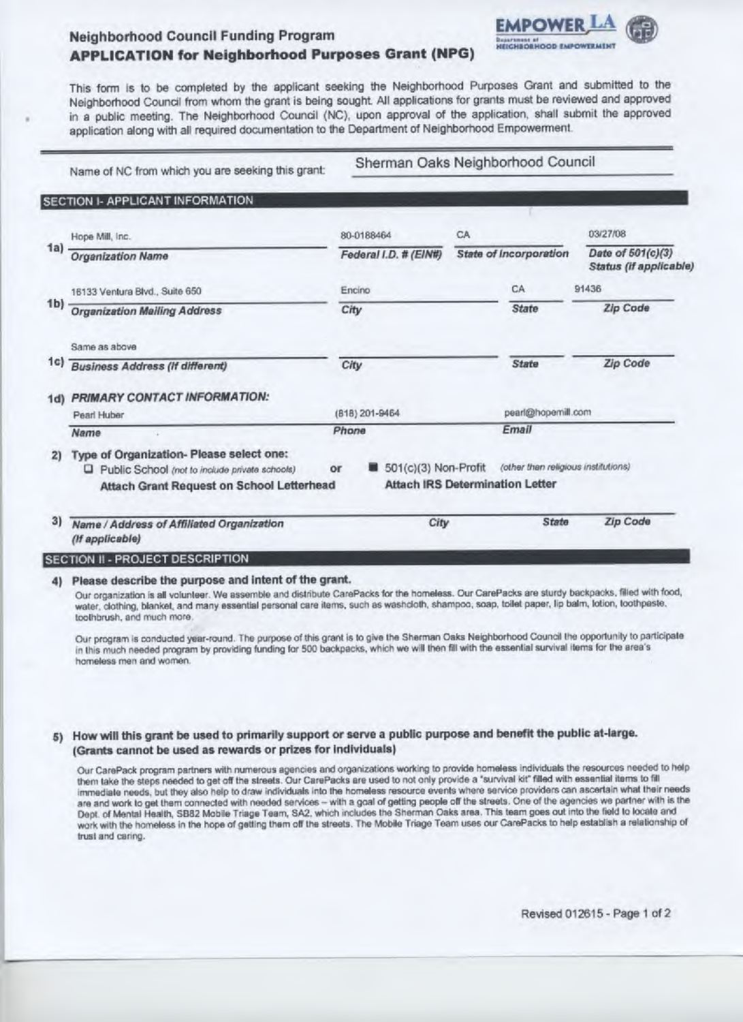# **Neighborhood Council Funding Program APPLICATION for Neighborhood Purposes Grant (NPG)**

This form is to be completed by the applicant seeking the Neighborhood Purposes Grant and submitted to the Neighborhood Council from whom the grant is being sought. All applications for grants must be reviewed and approved in a public meeting. The Neighborhood Council (NC), upon approval of the application, shall submit the approved application along with all required documentation to the Department of Neighborhood Empowerment.

Name of NC from which you are seeking this grant:

Sherman Oaks Neighborhood Council

**EMPOWER LA** 

**HEIGHBOBHOOD EMPO** 

### SECTION I- APPLICANT INFORMATION

|                | Hope Mill, Inc.                                                                                                                         |                | 80-0188464            | CA           |                                                                               | 03/27/08                                           |
|----------------|-----------------------------------------------------------------------------------------------------------------------------------------|----------------|-----------------------|--------------|-------------------------------------------------------------------------------|----------------------------------------------------|
| 1a)            | <b>Organization Name</b>                                                                                                                |                | Federal I.D. # (EIN#) |              | State of Incorporation                                                        | Date of 501(c)(3)<br><b>Status</b> (if applicable) |
|                | 16133 Ventura Blvd., Suite 650                                                                                                          |                | Encino                |              | CA                                                                            | 91436                                              |
| 1 <sub>b</sub> | <b>Organization Mailing Address</b>                                                                                                     | City           |                       | <b>State</b> | <b>Zip Code</b>                                                               |                                                    |
|                | Same as above                                                                                                                           |                |                       |              |                                                                               |                                                    |
| 1c)            | <b>Business Address (If different)</b>                                                                                                  | City           |                       |              | <b>State</b>                                                                  | Zip Code                                           |
| 1 <sub>d</sub> | PRIMARY CONTACT INFORMATION:                                                                                                            |                |                       |              |                                                                               |                                                    |
|                | Pearl Huber                                                                                                                             | (818) 201-9464 |                       |              | pearl@hopemill.com                                                            |                                                    |
|                | Name                                                                                                                                    |                | Phone                 |              | Email                                                                         |                                                    |
| 2)             | Type of Organization- Please select one:<br>Public School (not to include private schools)<br>Attach Grant Request on School Letterhead | or             | 501(c)(3) Non-Profit  |              | (other then religious institutions)<br><b>Attach IRS Determination Letter</b> |                                                    |
| 3)             | Name / Address of Affiliated Organization                                                                                               |                | City                  |              | State                                                                         | <b>Zip Code</b>                                    |

(If applicable)

## SECTION II - PROJECT DESCRIPTION

## 4) Please describe the purpose and intent of the grant.

Our organization is all volunteer. We assemble and distribute CarePacks for the homeless. Our CarePacks are sturdy backpacks, filled with food, water, clothing, blanket, and many essential personal care items, such as washcloth, shampoo, soap, toilet paper, lip balm, lotion, toothpaste, toothbrush, and much more.

Our program is conducted year-round. The purpose of this grant is to give the Sherman Oaks Neighborhood Council the opportunity to participate in this much needed program by providing funding for 500 backpacks, which we will then fill with the essential survival items for the area's homeless men and women.

## 5) How will this grant be used to primarily support or serve a public purpose and benefit the public at-large. (Grants cannot be used as rewards or prizes for individuals)

Our CarePack program partners with numerous agencies and organizations working to provide homeless individuals the resources needed to help them take the steps needed to get off the streets. Our CarePacks are used to not only provide a "survival kit" filled with essential items to fill immediate needs, but they also help to draw individuals into the homeless resource events where service providers can ascertain what their needs are and work to get them connected with needed services - with a goal of getting people off the streets. One of the agencies we partner with is the Dept. of Mental Health, SB82 Mobile Triage Team, SA2, which includes the Sherman Oaks area. This team goes out into the field to locate and work with the homeless in the hope of getting them off the streets. The Mobile Triage Team uses our CarePacks to help establish a relationship of trust and caring.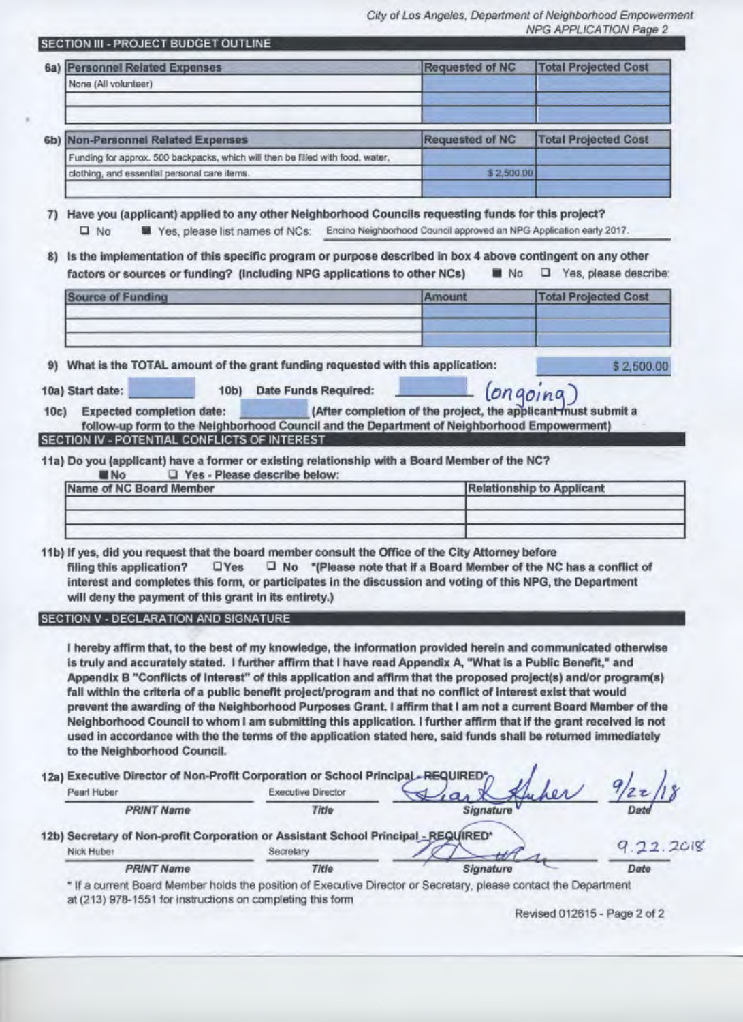City of Los Angeles, Department of Neighborhood Empowerment NPG APPLICATION Page 2

 $(onaoina)$ 

| SECTION III - PROJECT BUDGET OUTLINE |  |
|--------------------------------------|--|
|--------------------------------------|--|

| 6a)            | <b>Personnel Related Expenses</b>                                              | <b>Requested of NC</b> | <b>Total Projected Cost</b> |
|----------------|--------------------------------------------------------------------------------|------------------------|-----------------------------|
|                | None (All volunteer)                                                           |                        |                             |
|                |                                                                                |                        |                             |
| 6 <sub>b</sub> | <b>Non-Personnel Related Expenses</b>                                          | Requested of NC        | <b>Total Projected Cost</b> |
|                | Funding for approx. 500 backpacks, which will then be filled with food, water, |                        |                             |
|                | clothing, and essential personal care items.                                   | \$2,500.00             |                             |

7) Have you (applicant) applied to any other Neighborhood Councils requesting funds for this project?

Yes, please list names of NCs: Encino Neighborhood Council approved an NPG Application early 2017.  $\square$  No

8) Is the implementation of this specific program or purpose described in box 4 above contingent on any other factors or sources or funding? (Including NPG applications to other NCs) No. Yes, please describe:

| ___<br>____                                                                                                                                            |  |
|--------------------------------------------------------------------------------------------------------------------------------------------------------|--|
|                                                                                                                                                        |  |
| the control of the control of the control of the                                                                                                       |  |
| The control of the control of the control of the control of the control of the control of the control of the control of<br>The College of Constitution |  |

9) What is the TOTAL amount of the grant funding requested with this application:

\$2,500.00

10a) Start date:

10b) Date Funds Required:

| 10c) | <b>Expected completion date:</b>              | (After completion of the project, the applicant must submit a                              |  |  |
|------|-----------------------------------------------|--------------------------------------------------------------------------------------------|--|--|
|      |                                               | follow-up form to the Neighborhood Council and the Department of Neighborhood Empowerment) |  |  |
|      | SECTION IV - POTENTIAL CONELICTS OF INTEREST. |                                                                                            |  |  |

11a) Do you (applicant) have a former or existing relationship with a Board Member of the NC?

**No** T Yes - Please describe below: Name of NC Board Member **Relationship to Applicant** 

11b) If yes, did you request that the board member consult the Office of the City Attorney before

**OYes** □ No \*(Please note that if a Board Member of the NC has a conflict of filing this application? interest and completes this form, or participates in the discussion and voting of this NPG, the Department will deny the payment of this grant in its entirety.)

SECTION V - DECLARATION AND SIGNATURE

I hereby affirm that, to the best of my knowledge, the information provided herein and communicated otherwise is truly and accurately stated. I further affirm that I have read Appendix A, "What is a Public Benefit," and Appendix B "Conflicts of Interest" of this application and affirm that the proposed project(s) and/or program(s) fall within the criteria of a public benefit project/program and that no conflict of interest exist that would prevent the awarding of the Neighborhood Purposes Grant. I affirm that I am not a current Board Member of the Neighborhood Council to whom I am submitting this application. I further affirm that if the grant received is not used in accordance with the the terms of the application stated here, said funds shall be returned immediately to the Neighborhood Council.

12a) Executive Director of Non-Profit Corporation or School Principal Pearl Huber **Executive Director PRINT Name** Title Signature 12b) Secretary of Non-profit Corporation or Assistant School Principal - REQUIRED\*  $2.2018$ Nick Huber Secretary **PRINT Name** Title Signature

\* If a current Board Member holds the position of Executive Director or Secretary, please contact the Department at (213) 978-1551 for instructions on completing this form

Revised 012615 - Page 2 of 2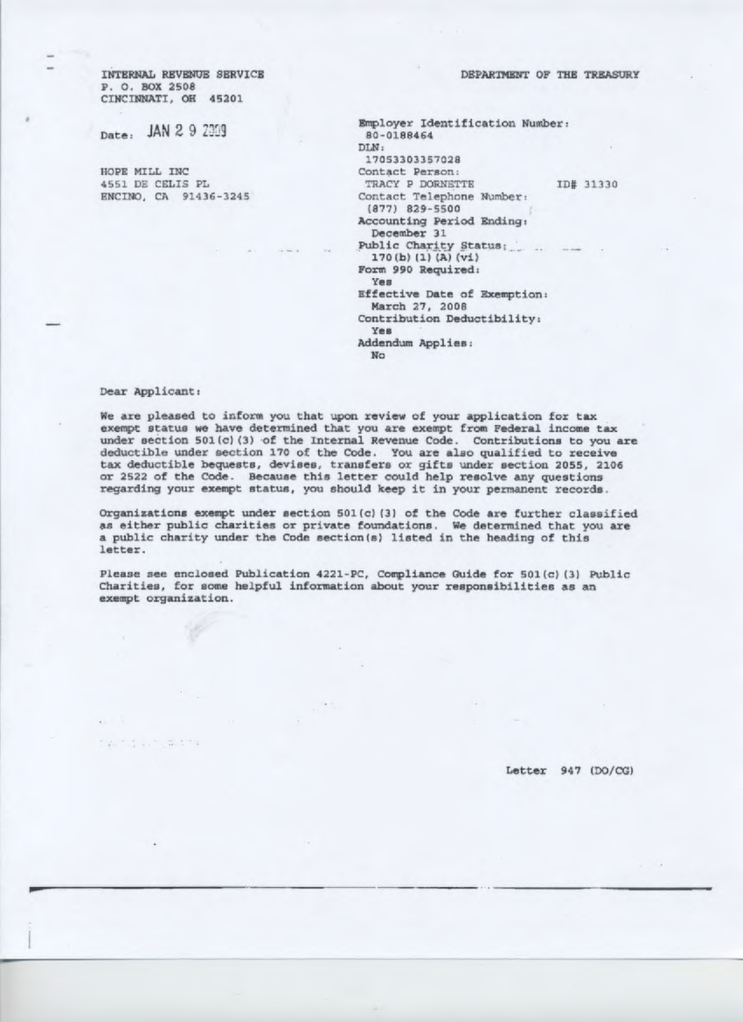DEPARTMENT OF THE TREASURY

INTERNAL REVENUE SERVICE P. O. BOX 2508 CINCINNATI, OH 45201

Date: JAN 2 9 2009

HOPE MILL INC 4551 DE CELIS PL ENCINO, CA 91436-3245

| Rmployer Identification Number:<br>80-0188464  |           |
|------------------------------------------------|-----------|
| DLN:                                           |           |
| 17053303357028                                 |           |
| Contact Person:                                |           |
| TRACY P DORNETTE                               | ID# 31330 |
| Contact Telephone Number:                      |           |
| $(877)$ 829-5500                               |           |
| Accounting Period Ending:<br>December 31       |           |
| 170(b) (1) (A) (v1)                            |           |
| Form 990 Required:<br>Yes                      |           |
| Effective Date of Exemption:<br>March 27, 2008 |           |
| Contribution Deductibility:<br>Yes             |           |
| Addendum Applies:<br>No                        |           |
|                                                |           |

#### Dear Applicant:

the fact with

We are pleased to inform you that upon review of your application for tax exempt status we have determined that you are exempt from Federal income tax under section 501(c)(3) of the Internal Revenue Code. Contributions to you are deductible under section 170 of the Code. You are also qualified to receive tax deductible bequests, devises, transfers or gifts under section 2055, 2106 or 2522 of the Code. Because this letter could help resolve any questions regarding your exempt status, you should keep it in your permanent records.

Organizations exempt under section 501(c) (3) of the Code are further classified as either public charities or private foundations. We determined that you are a public charity under the Code section(s) listed in the heading of this letter.

Please see enclosed Publication 4221-PC, Compliance Guide for 501(c) (3) Public Charities, for some helpful information about your responsibilities as an exempt organization.

Letter 947 (DO/CG)